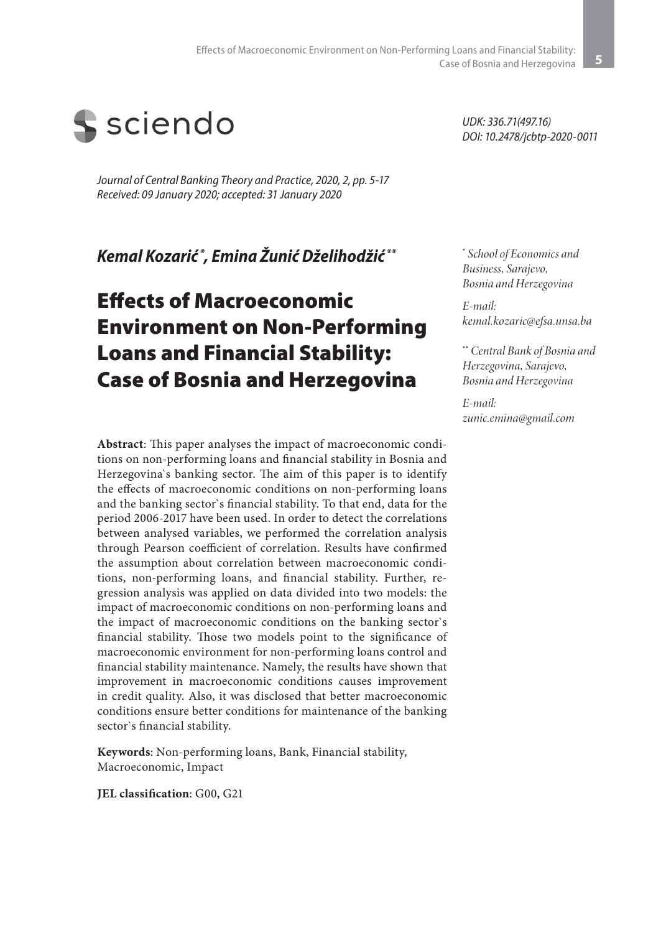

*Journal of Central Banking Theory and Practice, 2020, 2, pp. 5-17 Received: 09 January 2020; accepted: 31 January 2020*

*Kemal Kozarić \*, Emina Žunić Dželihodžić \*\**

# Effects of Macroeconomic Environment on Non-Performing Loans and Financial Stability: Case of Bosnia and Herzegovina

**Abstract**: This paper analyses the impact of macroeconomic conditions on non-performing loans and financial stability in Bosnia and Herzegovina`s banking sector. The aim of this paper is to identify the effects of macroeconomic conditions on non-performing loans and the banking sector`s financial stability. To that end, data for the period 2006-2017 have been used. In order to detect the correlations between analysed variables, we performed the correlation analysis through Pearson coefficient of correlation. Results have confirmed the assumption about correlation between macroeconomic conditions, non-performing loans, and financial stability. Further, regression analysis was applied on data divided into two models: the impact of macroeconomic conditions on non-performing loans and the impact of macroeconomic conditions on the banking sector`s financial stability. Those two models point to the significance of macroeconomic environment for non-performing loans control and financial stability maintenance. Namely, the results have shown that improvement in macroeconomic conditions causes improvement in credit quality. Also, it was disclosed that better macroeconomic conditions ensure better conditions for maintenance of the banking sector`s financial stability.

**Keywords**: Non-performing loans, Bank, Financial stability, Macroeconomic, Impact

**JEL classification**: G00, G21

*UDK: 336.71(497.16) DOI: 10.2478/jcbtp-2020-0011* 

**\***  *School of Economics and Business, Sarajevo, Bosnia and Herzegovina*

*E-mail: kemal.kozaric@efsa.unsa.ba*

**\*\*** *Central Bank of Bosnia and Herzegovina, Sarajevo, Bosnia and Herzegovina*

*E-mail: zunic.emina@gmail.com*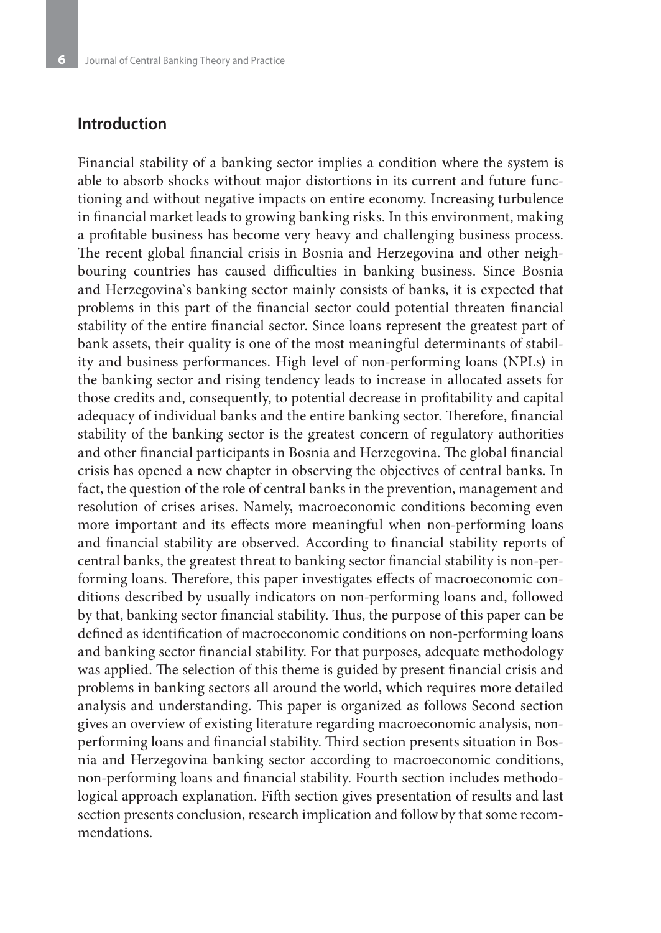## **Introduction**

Financial stability of a banking sector implies a condition where the system is able to absorb shocks without major distortions in its current and future functioning and without negative impacts on entire economy. Increasing turbulence in financial market leads to growing banking risks. In this environment, making a profitable business has become very heavy and challenging business process. The recent global financial crisis in Bosnia and Herzegovina and other neighbouring countries has caused difficulties in banking business. Since Bosnia and Herzegovina`s banking sector mainly consists of banks, it is expected that problems in this part of the financial sector could potential threaten financial stability of the entire financial sector. Since loans represent the greatest part of bank assets, their quality is one of the most meaningful determinants of stability and business performances. High level of non-performing loans (NPLs) in the banking sector and rising tendency leads to increase in allocated assets for those credits and, consequently, to potential decrease in profitability and capital adequacy of individual banks and the entire banking sector. Therefore, financial stability of the banking sector is the greatest concern of regulatory authorities and other financial participants in Bosnia and Herzegovina. The global financial crisis has opened a new chapter in observing the objectives of central banks. In fact, the question of the role of central banks in the prevention, management and resolution of crises arises. Namely, macroeconomic conditions becoming even more important and its effects more meaningful when non-performing loans and financial stability are observed. According to financial stability reports of central banks, the greatest threat to banking sector financial stability is non-performing loans. Therefore, this paper investigates effects of macroeconomic conditions described by usually indicators on non-performing loans and, followed by that, banking sector financial stability. Thus, the purpose of this paper can be defined as identification of macroeconomic conditions on non-performing loans and banking sector financial stability. For that purposes, adequate methodology was applied. The selection of this theme is guided by present financial crisis and problems in banking sectors all around the world, which requires more detailed analysis and understanding. This paper is organized as follows Second section gives an overview of existing literature regarding macroeconomic analysis, nonperforming loans and financial stability. Third section presents situation in Bosnia and Herzegovina banking sector according to macroeconomic conditions, non-performing loans and financial stability. Fourth section includes methodological approach explanation. Fifth section gives presentation of results and last section presents conclusion, research implication and follow by that some recommendations.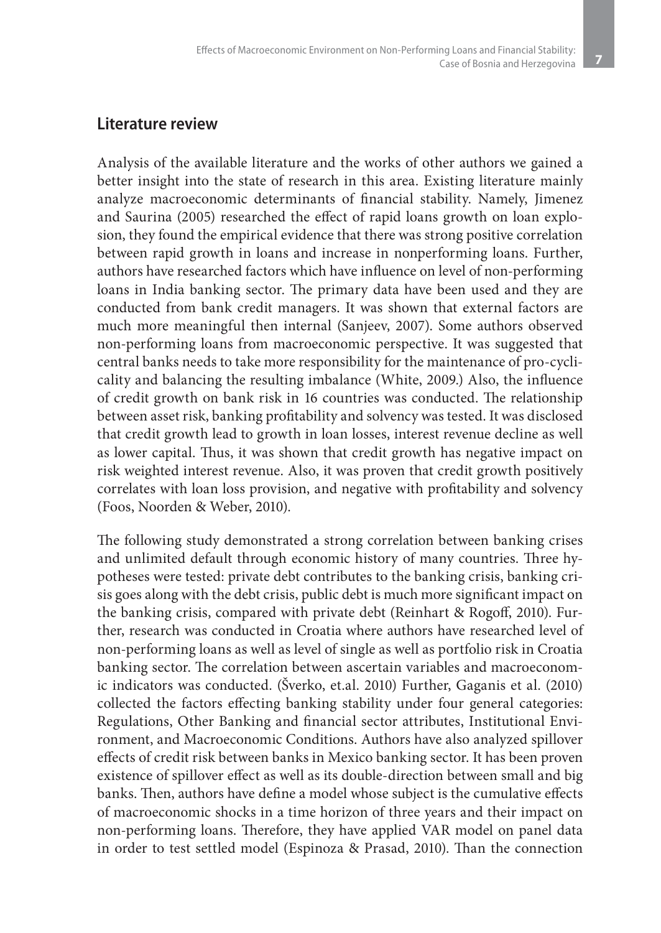## **Literature review**

Analysis of the available literature and the works of other authors we gained a better insight into the state of research in this area. Existing literature mainly analyze macroeconomic determinants of financial stability. Namely, Jimenez and Saurina (2005) researched the effect of rapid loans growth on loan explosion, they found the empirical evidence that there was strong positive correlation between rapid growth in loans and increase in nonperforming loans. Further, authors have researched factors which have influence on level of non-performing loans in India banking sector. The primary data have been used and they are conducted from bank credit managers. It was shown that external factors are much more meaningful then internal (Sanjeev, 2007). Some authors observed non-performing loans from macroeconomic perspective. It was suggested that central banks needs to take more responsibility for the maintenance of pro-cyclicality and balancing the resulting imbalance (White, 2009.) Also, the influence of credit growth on bank risk in 16 countries was conducted. The relationship between asset risk, banking profitability and solvency was tested. It was disclosed that credit growth lead to growth in loan losses, interest revenue decline as well as lower capital. Thus, it was shown that credit growth has negative impact on risk weighted interest revenue. Also, it was proven that credit growth positively correlates with loan loss provision, and negative with profitability and solvency (Foos, Noorden & Weber, 2010).

The following study demonstrated a strong correlation between banking crises and unlimited default through economic history of many countries. Three hypotheses were tested: private debt contributes to the banking crisis, banking crisis goes along with the debt crisis, public debt is much more significant impact on the banking crisis, compared with private debt (Reinhart & Rogoff, 2010). Further, research was conducted in Croatia where authors have researched level of non-performing loans as well as level of single as well as portfolio risk in Croatia banking sector. The correlation between ascertain variables and macroeconomic indicators was conducted. (Šverko, et.al. 2010) Further, Gaganis et al. (2010) collected the factors effecting banking stability under four general categories: Regulations, Other Banking and financial sector attributes, Institutional Environment, and Macroeconomic Conditions. Authors have also analyzed spillover effects of credit risk between banks in Mexico banking sector. It has been proven existence of spillover effect as well as its double-direction between small and big banks. Then, authors have define a model whose subject is the cumulative effects of macroeconomic shocks in a time horizon of three years and their impact on non-performing loans. Therefore, they have applied VAR model on panel data in order to test settled model (Espinoza & Prasad, 2010). Than the connection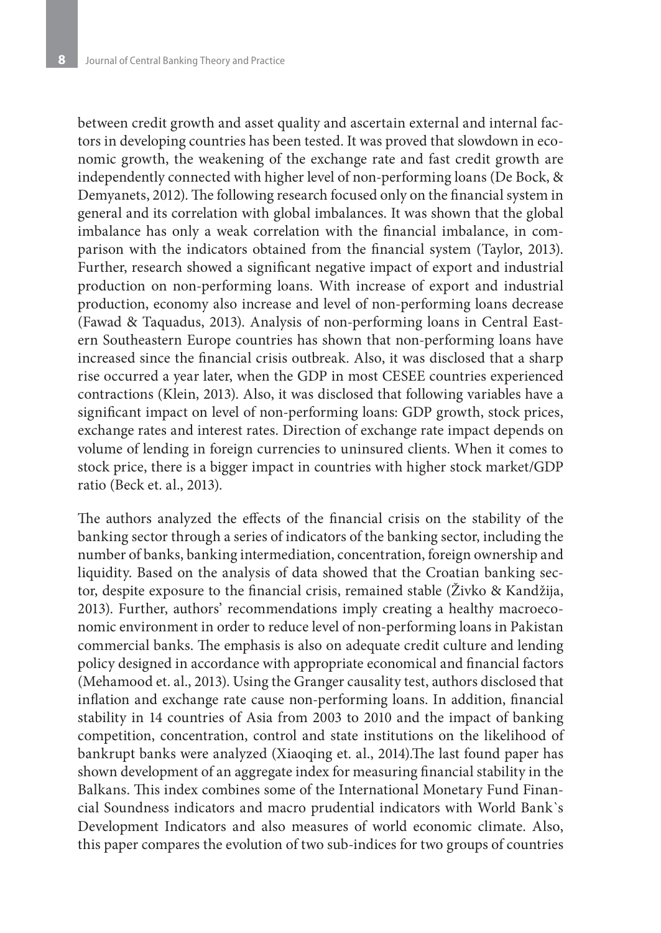between credit growth and asset quality and ascertain external and internal factors in developing countries has been tested. It was proved that slowdown in economic growth, the weakening of the exchange rate and fast credit growth are independently connected with higher level of non-performing loans (De Bock, & Demyanets, 2012). The following research focused only on the financial system in general and its correlation with global imbalances. It was shown that the global imbalance has only a weak correlation with the financial imbalance, in comparison with the indicators obtained from the financial system (Taylor, 2013). Further, research showed a significant negative impact of export and industrial production on non-performing loans. With increase of export and industrial production, economy also increase and level of non-performing loans decrease (Fawad & Taquadus, 2013). Analysis of non-performing loans in Central Eastern Southeastern Europe countries has shown that non-performing loans have increased since the financial crisis outbreak. Also, it was disclosed that a sharp rise occurred a year later, when the GDP in most CESEE countries experienced contractions (Klein, 2013). Also, it was disclosed that following variables have a significant impact on level of non-performing loans: GDP growth, stock prices, exchange rates and interest rates. Direction of exchange rate impact depends on volume of lending in foreign currencies to uninsured clients. When it comes to stock price, there is a bigger impact in countries with higher stock market/GDP ratio (Beck et. al., 2013).

The authors analyzed the effects of the financial crisis on the stability of the banking sector through a series of indicators of the banking sector, including the number of banks, banking intermediation, concentration, foreign ownership and liquidity. Based on the analysis of data showed that the Croatian banking sector, despite exposure to the financial crisis, remained stable (Živko & Kandžija, 2013). Further, authors' recommendations imply creating a healthy macroeconomic environment in order to reduce level of non-performing loans in Pakistan commercial banks. The emphasis is also on adequate credit culture and lending policy designed in accordance with appropriate economical and financial factors (Mehamood et. al., 2013). Using the Granger causality test, authors disclosed that inflation and exchange rate cause non-performing loans. In addition, financial stability in 14 countries of Asia from 2003 to 2010 and the impact of banking competition, concentration, control and state institutions on the likelihood of bankrupt banks were analyzed (Xiaoqing et. al., 2014).The last found paper has shown development of an aggregate index for measuring financial stability in the Balkans. This index combines some of the International Monetary Fund Financial Soundness indicators and macro prudential indicators with World Bank`s Development Indicators and also measures of world economic climate. Also, this paper compares the evolution of two sub-indices for two groups of countries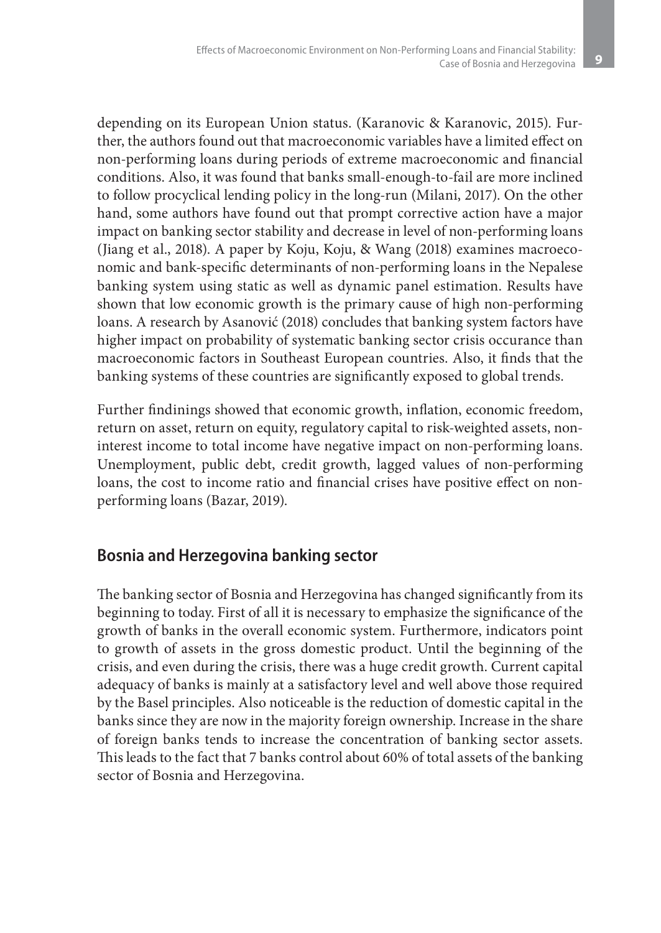depending on its European Union status. (Karanovic & Karanovic, 2015). Further, the authors found out that macroeconomic variables have a limited effect on non-performing loans during periods of extreme macroeconomic and financial conditions. Also, it was found that banks small-enough-to-fail are more inclined to follow procyclical lending policy in the long-run (Milani, 2017). On the other hand, some authors have found out that prompt corrective action have a major impact on banking sector stability and decrease in level of non-performing loans (Jiang et al., 2018). A paper by Koju, Koju, & Wang (2018) examines macroeconomic and bank-specific determinants of non-performing loans in the Nepalese banking system using static as well as dynamic panel estimation. Results have shown that low economic growth is the primary cause of high non-performing loans. A research by Asanović (2018) concludes that banking system factors have higher impact on probability of systematic banking sector crisis occurance than macroeconomic factors in Southeast European countries. Also, it finds that the banking systems of these countries are significantly exposed to global trends.

Further findinings showed that economic growth, inflation, economic freedom, return on asset, return on equity, regulatory capital to risk-weighted assets, noninterest income to total income have negative impact on non-performing loans. Unemployment, public debt, credit growth, lagged values of non-performing loans, the cost to income ratio and financial crises have positive effect on nonperforming loans (Bazar, 2019).

## **Bosnia and Herzegovina banking sector**

The banking sector of Bosnia and Herzegovina has changed significantly from its beginning to today. First of all it is necessary to emphasize the significance of the growth of banks in the overall economic system. Furthermore, indicators point to growth of assets in the gross domestic product. Until the beginning of the crisis, and even during the crisis, there was a huge credit growth. Current capital adequacy of banks is mainly at a satisfactory level and well above those required by the Basel principles. Also noticeable is the reduction of domestic capital in the banks since they are now in the majority foreign ownership. Increase in the share of foreign banks tends to increase the concentration of banking sector assets. This leads to the fact that 7 banks control about 60% of total assets of the banking sector of Bosnia and Herzegovina.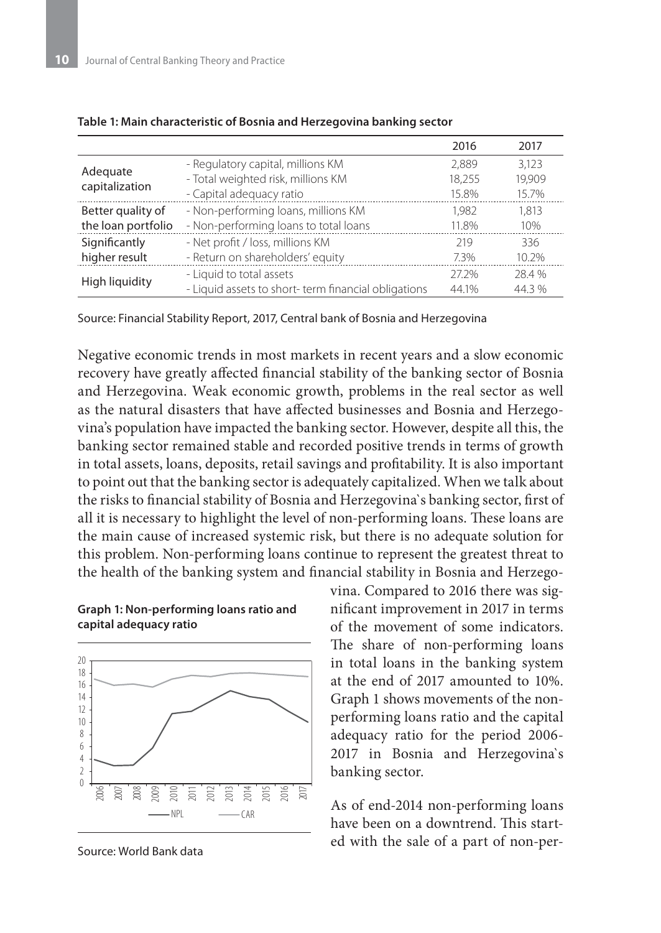|                            |                                                     | 2016   | 2017   |
|----------------------------|-----------------------------------------------------|--------|--------|
| Adequate<br>capitalization | - Regulatory capital, millions KM                   | 2.889  | 3.123  |
|                            | - Total weighted risk, millions KM                  | 18.255 | 19.909 |
|                            | - Capital adequacy ratio                            | 15.8%  | 15.7%  |
| Better quality of          | - Non-performing loans, millions KM                 | 1.982  | 1.813  |
| the loan portfolio         | - Non-performing loans to total loans               | 11.8%  | 10%    |
| Significantly              | - Net profit / loss, millions KM                    | 219    | 336    |
| higher result              | - Return on shareholders' equity                    | 7.3%   | 10.2%  |
| High liquidity             | - Liquid to total assets                            | 272%   | 28.4 % |
|                            | - Liquid assets to short-term financial obligations | 44.1%  | 44.3 % |

#### **Table 1: Main characteristic of Bosnia and Herzegovina banking sector**

Source: Financial Stability Report, 2017, Central bank of Bosnia and Herzegovina

Negative economic trends in most markets in recent years and a slow economic recovery have greatly affected financial stability of the banking sector of Bosnia and Herzegovina. Weak economic growth, problems in the real sector as well as the natural disasters that have affected businesses and Bosnia and Herzegovina's population have impacted the banking sector. However, despite all this, the banking sector remained stable and recorded positive trends in terms of growth in total assets, loans, deposits, retail savings and profitability. It is also important to point out that the banking sector is adequately capitalized. When we talk about the risks to financial stability of Bosnia and Herzegovina`s banking sector, first of all it is necessary to highlight the level of non-performing loans. These loans are the main cause of increased systemic risk, but there is no adequate solution for this problem. Non-performing loans continue to represent the greatest threat to the health of the banking system and financial stability in Bosnia and Herzego-





Source: World Bank data

vina. Compared to 2016 there was significant improvement in 2017 in terms of the movement of some indicators. The share of non-performing loans in total loans in the banking system at the end of 2017 amounted to 10%. Graph 1 shows movements of the nonperforming loans ratio and the capital adequacy ratio for the period 2006- 2017 in Bosnia and Herzegovina`s banking sector.

As of end-2014 non-performing loans have been on a downtrend. This started with the sale of a part of non-per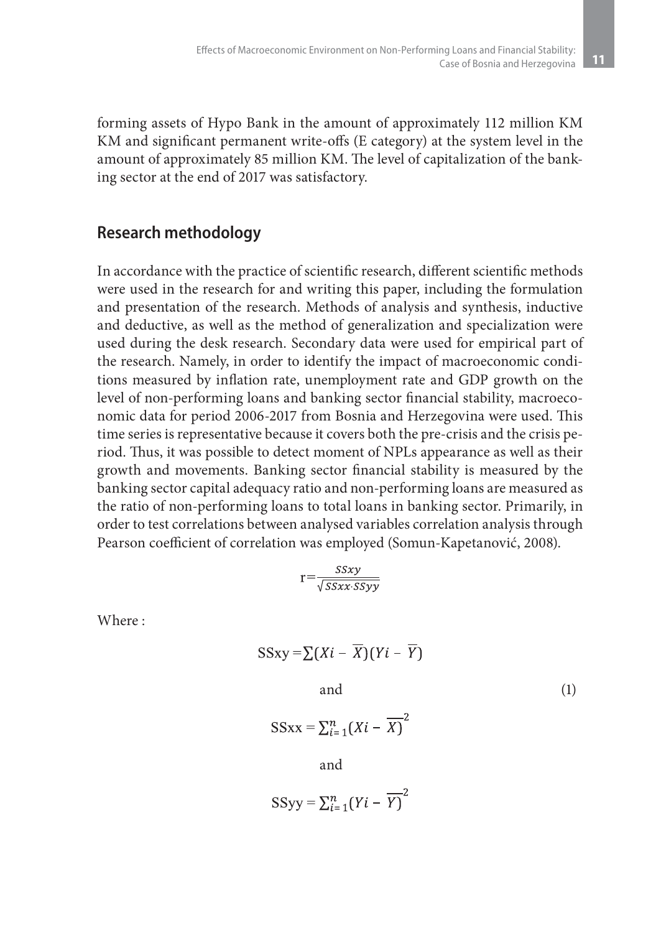forming assets of Hypo Bank in the amount of approximately 112 million KM KM and significant permanent write-offs (E category) at the system level in the amount of approximately 85 million KM. The level of capitalization of the banking sector at the end of 2017 was satisfactory.

# **Research methodology**

In accordance with the practice of scientific research, different scientific methods were used in the research for and writing this paper, including the formulation and presentation of the research. Methods of analysis and synthesis, inductive and deductive, as well as the method of generalization and specialization were used during the desk research. Secondary data were used for empirical part of the research. Namely, in order to identify the impact of macroeconomic conditions measured by inflation rate, unemployment rate and GDP growth on the level of non-performing loans and banking sector financial stability, macroeconomic data for period 2006-2017 from Bosnia and Herzegovina were used. This time series is representative because it covers both the pre-crisis and the crisis period. Thus, it was possible to detect moment of NPLs appearance as well as their growth and movements. Banking sector financial stability is measured by the banking sector capital adequacy ratio and non-performing loans are measured as the ratio of non-performing loans to total loans in banking sector. Primarily, in order to test correlations between analysed variables correlation analysis through Pearson coefficient of correlation was employed (Somun-Kapetanović, 2008).

$$
r = \frac{SSxy}{\sqrt{SSxx \cdot SSyy}}
$$

Where :

$$
SSxy = \sum (Xi - \overline{X})(Yi - \overline{Y})
$$
  
and  

$$
SSxx = \sum_{i=1}^{n} (Xi - \overline{X})^{2}
$$
  
and  

$$
SSyy = \sum_{i=1}^{n} (Yi - \overline{Y})^{2}
$$
 (1)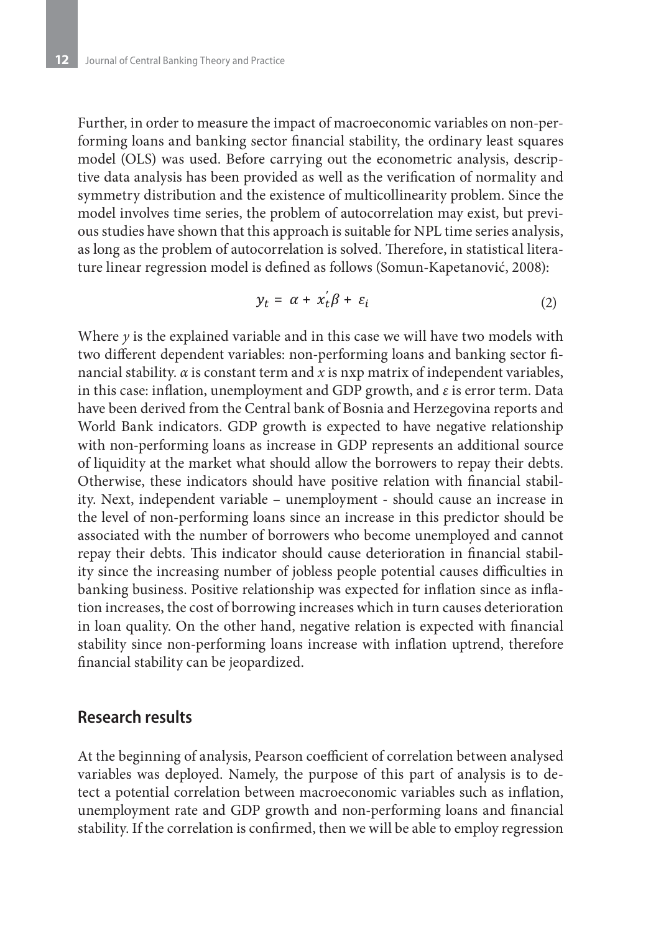Further, in order to measure the impact of macroeconomic variables on non-performing loans and banking sector financial stability, the ordinary least squares model (OLS) was used. Before carrying out the econometric analysis, descriptive data analysis has been provided as well as the verification of normality and symmetry distribution and the existence of multicollinearity problem. Since the model involves time series, the problem of autocorrelation may exist, but previous studies have shown that this approach is suitable for NPL time series analysis, as long as the problem of autocorrelation is solved. Therefore, in statistical literature linear regression model is defined as follows (Somun-Kapetanović, 2008):

$$
y_t = \alpha + x_t' \beta + \varepsilon_i \tag{2}
$$

Where *y* is the explained variable and in this case we will have two models with two different dependent variables: non-performing loans and banking sector financial stability. *α* is constant term and *x* is nxp matrix of independent variables, in this case: inflation, unemployment and GDP growth, and *ε* is error term. Data have been derived from the Central bank of Bosnia and Herzegovina reports and World Bank indicators. GDP growth is expected to have negative relationship with non-performing loans as increase in GDP represents an additional source of liquidity at the market what should allow the borrowers to repay their debts. Otherwise, these indicators should have positive relation with financial stability. Next, independent variable – unemployment - should cause an increase in the level of non-performing loans since an increase in this predictor should be associated with the number of borrowers who become unemployed and cannot repay their debts. This indicator should cause deterioration in financial stability since the increasing number of jobless people potential causes difficulties in banking business. Positive relationship was expected for inflation since as inflation increases, the cost of borrowing increases which in turn causes deterioration in loan quality. On the other hand, negative relation is expected with financial stability since non-performing loans increase with inflation uptrend, therefore financial stability can be jeopardized.

### **Research results**

At the beginning of analysis, Pearson coefficient of correlation between analysed variables was deployed. Namely, the purpose of this part of analysis is to detect a potential correlation between macroeconomic variables such as inflation, unemployment rate and GDP growth and non-performing loans and financial stability. If the correlation is confirmed, then we will be able to employ regression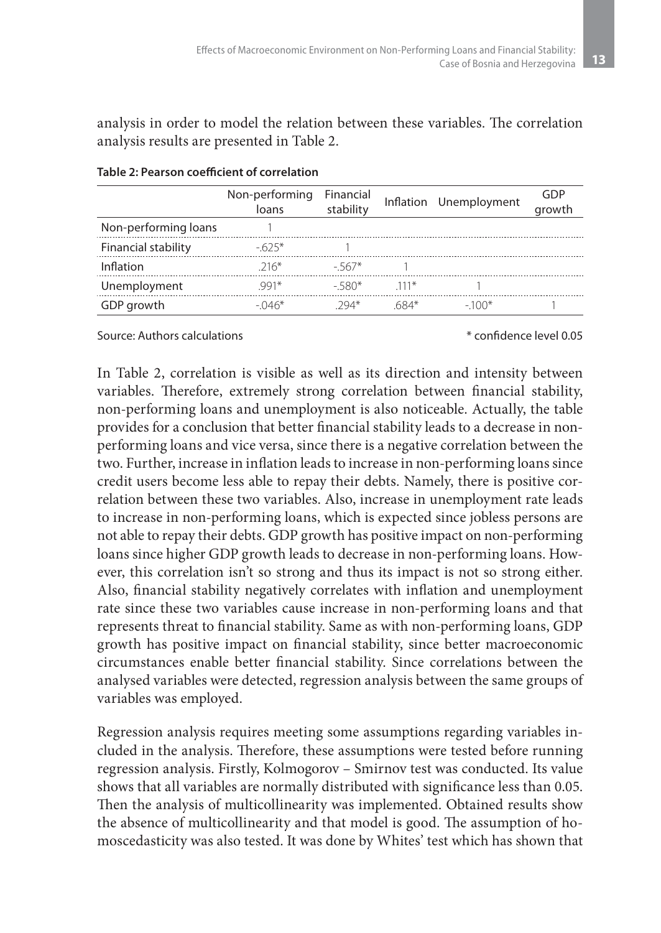analysis in order to model the relation between these variables. The correlation analysis results are presented in Table 2.

|                      | Non-performing Financial<br>loans | stability |        | Inflation Unemployment | GDP<br>growth |
|----------------------|-----------------------------------|-----------|--------|------------------------|---------------|
| Non-performing loans |                                   |           |        |                        |               |
| Financial stability  | $-625*$                           |           |        |                        |               |
| Inflation            | $216*$                            | - 567*    |        |                        |               |
| Unemployment         | $991*$                            | - 580*    | $111*$ |                        |               |
| GDP growth           | $-046*$                           | 294*      | 684*   | $-100*$                |               |

#### **Table 2: Pearson coefficient of correlation**

#### Source: Authors calculations \* confidence level 0.05

In Table 2, correlation is visible as well as its direction and intensity between variables. Therefore, extremely strong correlation between financial stability, non-performing loans and unemployment is also noticeable. Actually, the table provides for a conclusion that better financial stability leads to a decrease in nonperforming loans and vice versa, since there is a negative correlation between the two. Further, increase in inflation leads to increase in non-performing loans since credit users become less able to repay their debts. Namely, there is positive correlation between these two variables. Also, increase in unemployment rate leads to increase in non-performing loans, which is expected since jobless persons are not able to repay their debts. GDP growth has positive impact on non-performing loans since higher GDP growth leads to decrease in non-performing loans. However, this correlation isn't so strong and thus its impact is not so strong either. Also, financial stability negatively correlates with inflation and unemployment rate since these two variables cause increase in non-performing loans and that represents threat to financial stability. Same as with non-performing loans, GDP growth has positive impact on financial stability, since better macroeconomic circumstances enable better financial stability. Since correlations between the analysed variables were detected, regression analysis between the same groups of variables was employed.

Regression analysis requires meeting some assumptions regarding variables included in the analysis. Therefore, these assumptions were tested before running regression analysis. Firstly, Kolmogorov – Smirnov test was conducted. Its value shows that all variables are normally distributed with significance less than 0.05. Then the analysis of multicollinearity was implemented. Obtained results show the absence of multicollinearity and that model is good. The assumption of homoscedasticity was also tested. It was done by Whites' test which has shown that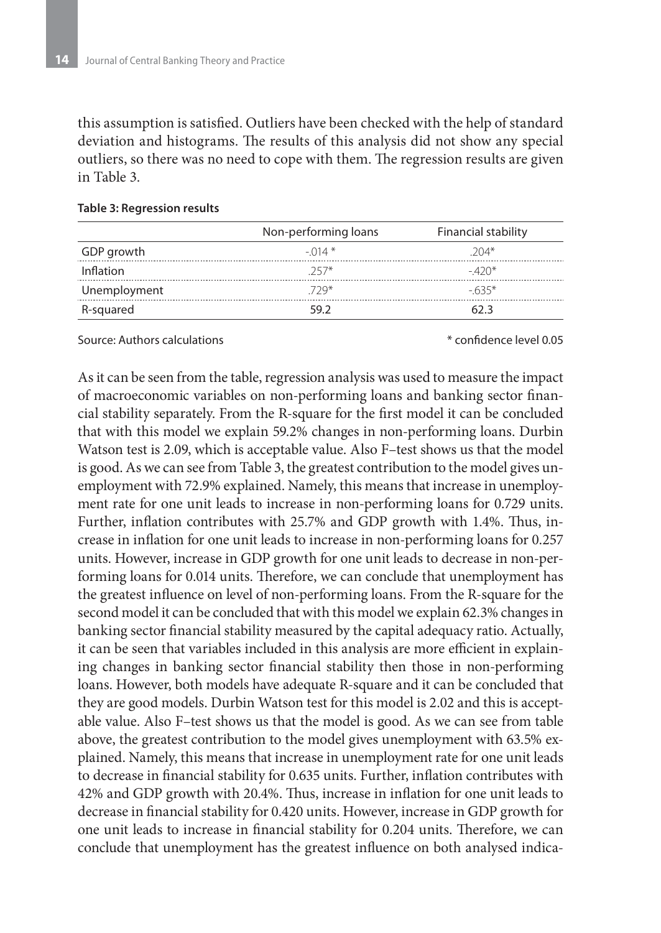this assumption is satisfied. Outliers have been checked with the help of standard deviation and histograms. The results of this analysis did not show any special outliers, so there was no need to cope with them. The regression results are given in Table 3.

|              | Non-performing loans | Financial stability |
|--------------|----------------------|---------------------|
| GDP growth   | $-014$ *             | $204*$              |
| Inflation    | $257*$               | $-420*$             |
| Unemployment | 729*                 | -635*               |
| R-squared    | 59 Z                 | 62 3                |

#### **Table 3: Regression results**

Source: Authors calculations \* confidence level 0.05

As it can be seen from the table, regression analysis was used to measure the impact of macroeconomic variables on non-performing loans and banking sector financial stability separately. From the R-square for the first model it can be concluded that with this model we explain 59.2% changes in non-performing loans. Durbin Watson test is 2.09, which is acceptable value. Also F–test shows us that the model is good. As we can see from Table 3, the greatest contribution to the model gives unemployment with 72.9% explained. Namely, this means that increase in unemployment rate for one unit leads to increase in non-performing loans for 0.729 units. Further, inflation contributes with 25.7% and GDP growth with 1.4%. Thus, increase in inflation for one unit leads to increase in non-performing loans for 0.257 units. However, increase in GDP growth for one unit leads to decrease in non-performing loans for 0.014 units. Therefore, we can conclude that unemployment has the greatest influence on level of non-performing loans. From the R-square for the second model it can be concluded that with this model we explain 62.3% changes in banking sector financial stability measured by the capital adequacy ratio. Actually, it can be seen that variables included in this analysis are more efficient in explaining changes in banking sector financial stability then those in non-performing loans. However, both models have adequate R-square and it can be concluded that they are good models. Durbin Watson test for this model is 2.02 and this is acceptable value. Also F–test shows us that the model is good. As we can see from table above, the greatest contribution to the model gives unemployment with 63.5% explained. Namely, this means that increase in unemployment rate for one unit leads to decrease in financial stability for 0.635 units. Further, inflation contributes with 42% and GDP growth with 20.4%. Thus, increase in inflation for one unit leads to decrease in financial stability for 0.420 units. However, increase in GDP growth for one unit leads to increase in financial stability for 0.204 units. Therefore, we can conclude that unemployment has the greatest influence on both analysed indica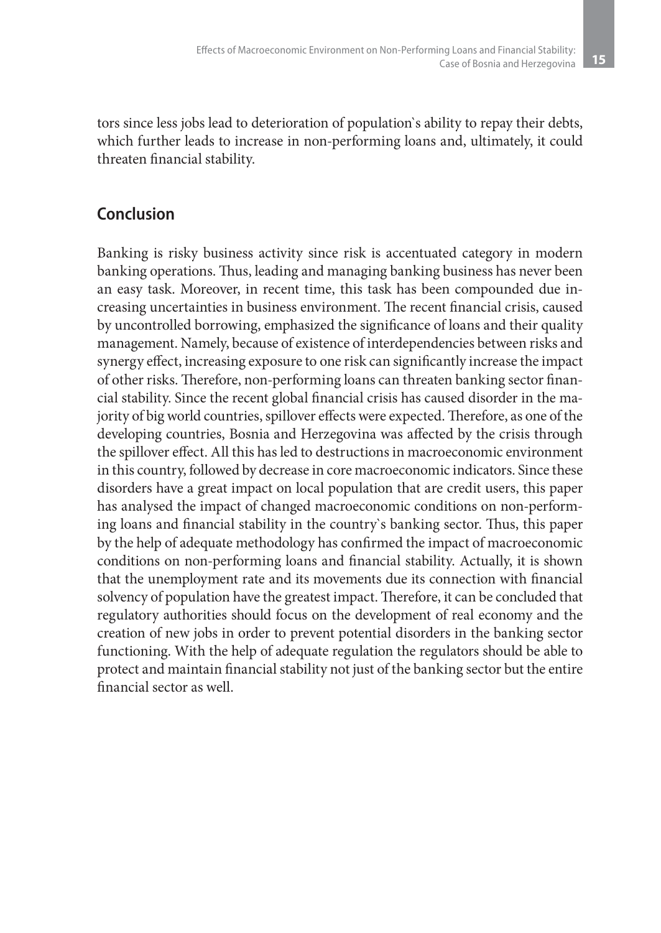tors since less jobs lead to deterioration of population`s ability to repay their debts, which further leads to increase in non-performing loans and, ultimately, it could threaten financial stability.

# **Conclusion**

Banking is risky business activity since risk is accentuated category in modern banking operations. Thus, leading and managing banking business has never been an easy task. Moreover, in recent time, this task has been compounded due increasing uncertainties in business environment. The recent financial crisis, caused by uncontrolled borrowing, emphasized the significance of loans and their quality management. Namely, because of existence of interdependencies between risks and synergy effect, increasing exposure to one risk can significantly increase the impact of other risks. Therefore, non-performing loans can threaten banking sector financial stability. Since the recent global financial crisis has caused disorder in the majority of big world countries, spillover effects were expected. Therefore, as one of the developing countries, Bosnia and Herzegovina was affected by the crisis through the spillover effect. All this has led to destructions in macroeconomic environment in this country, followed by decrease in core macroeconomic indicators. Since these disorders have a great impact on local population that are credit users, this paper has analysed the impact of changed macroeconomic conditions on non-performing loans and financial stability in the country`s banking sector. Thus, this paper by the help of adequate methodology has confirmed the impact of macroeconomic conditions on non-performing loans and financial stability. Actually, it is shown that the unemployment rate and its movements due its connection with financial solvency of population have the greatest impact. Therefore, it can be concluded that regulatory authorities should focus on the development of real economy and the creation of new jobs in order to prevent potential disorders in the banking sector functioning. With the help of adequate regulation the regulators should be able to protect and maintain financial stability not just of the banking sector but the entire financial sector as well.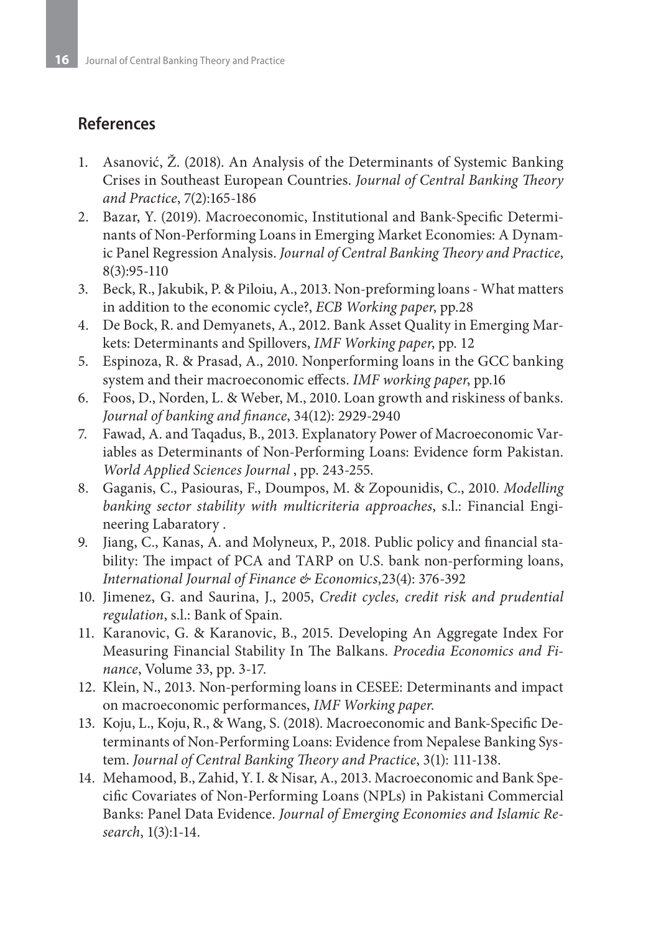# **References**

- 1. Asanović, Ž. (2018). An Analysis of the Determinants of Systemic Banking Crises in Southeast European Countries. *Journal of Central Banking Theory and Practice*, 7(2):165-186
- 2. Bazar, Y. (2019). Macroeconomic, Institutional and Bank-Specific Determinants of Non-Performing Loans in Emerging Market Economies: A Dynamic Panel Regression Analysis. *Journal of Central Banking Theory and Practice*, 8(3):95-110
- 3. Beck, R., Jakubik, P. & Piloiu, A., 2013. Non-preforming loans What matters in addition to the economic cycle?, *ECB Working paper*, pp.28
- 4. De Bock, R. and Demyanets, A., 2012. Bank Asset Quality in Emerging Markets: Determinants and Spillovers, *IMF Working paper*, pp. 12
- 5. Espinoza, R. & Prasad, A., 2010. Nonperforming loans in the GCC banking system and their macroeconomic effects. *IMF working paper*, pp.16
- 6. Foos, D., Norden, L. & Weber, M., 2010. Loan growth and riskiness of banks. *Journal of banking and finance*, 34(12): 2929-2940
- 7. Fawad, A. and Taqadus, B., 2013. Explanatory Power of Macroeconomic Variables as Determinants of Non-Performing Loans: Evidence form Pakistan. *World Applied Sciences Journal* , pp. 243-255.
- 8. Gaganis, C., Pasiouras, F., Doumpos, M. & Zopounidis, C., 2010. *Modelling banking sector stability with multicriteria approaches*, s.l.: Financial Engineering Labaratory .
- 9. Jiang, C., Kanas, A. and Molyneux, P., 2018. Public policy and financial stability: The impact of PCA and TARP on U.S. bank non‐performing loans, *International Journal of Finance & Economics*,23(4): 376-392
- 10. Jimenez, G. and Saurina, J., 2005, *Credit cycles, credit risk and prudential regulation*, s.l.: Bank of Spain.
- 11. Karanovic, G. & Karanovic, B., 2015. Developing An Aggregate Index For Measuring Financial Stability In The Balkans. *Procedia Economics and Finance*, Volume 33, pp. 3-17.
- 12. Klein, N., 2013. Non-performing loans in CESEE: Determinants and impact on macroeconomic performances, *IMF Working paper*.
- 13. Koju, L., Koju, R., & Wang, S. (2018). Macroeconomic and Bank-Specific Determinants of Non-Performing Loans: Evidence from Nepalese Banking System. *Journal of Central Banking Theory and Practice*, 3(1): 111-138.
- 14. Mehamood, B., Zahid, Y. I. & Nisar, A., 2013. Macroeconomic and Bank Specific Covariates of Non-Performing Loans (NPLs) in Pakistani Commercial Banks: Panel Data Evidence. *Journal of Emerging Economies and Islamic Research*, 1(3):1-14.